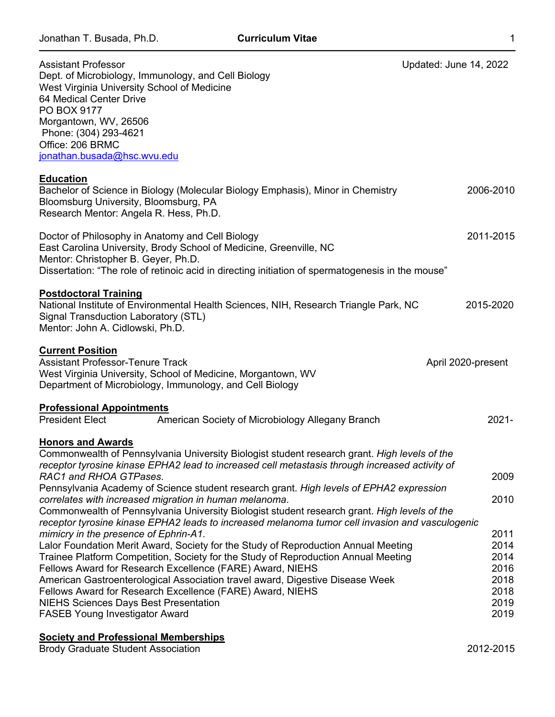| <b>Assistant Professor</b><br>Dept. of Microbiology, Immunology, and Cell Biology<br>West Virginia University School of Medicine<br>64 Medical Center Drive<br>PO BOX 9177<br>Morgantown, WV, 26506<br>Phone: (304) 293-4621<br>Office: 206 BRMC<br>jonathan.busada@hsc.wvu.edu                                                                                                                                                                                                                                                                                                                              | Updated: June 14, 2022       |
|--------------------------------------------------------------------------------------------------------------------------------------------------------------------------------------------------------------------------------------------------------------------------------------------------------------------------------------------------------------------------------------------------------------------------------------------------------------------------------------------------------------------------------------------------------------------------------------------------------------|------------------------------|
| <b>Education</b><br>Bachelor of Science in Biology (Molecular Biology Emphasis), Minor in Chemistry<br>Bloomsburg University, Bloomsburg, PA<br>Research Mentor: Angela R. Hess, Ph.D.                                                                                                                                                                                                                                                                                                                                                                                                                       | 2006-2010                    |
| Doctor of Philosophy in Anatomy and Cell Biology<br>East Carolina University, Brody School of Medicine, Greenville, NC<br>Mentor: Christopher B. Geyer, Ph.D.<br>Dissertation: "The role of retinoic acid in directing initiation of spermatogenesis in the mouse"                                                                                                                                                                                                                                                                                                                                           | 2011-2015                    |
| <b>Postdoctoral Training</b><br>National Institute of Environmental Health Sciences, NIH, Research Triangle Park, NC<br>Signal Transduction Laboratory (STL)<br>Mentor: John A. Cidlowski, Ph.D.                                                                                                                                                                                                                                                                                                                                                                                                             | 2015-2020                    |
| <b>Current Position</b><br><b>Assistant Professor-Tenure Track</b><br>West Virginia University, School of Medicine, Morgantown, WV<br>Department of Microbiology, Immunology, and Cell Biology                                                                                                                                                                                                                                                                                                                                                                                                               | April 2020-present           |
| <b>Professional Appointments</b><br><b>President Elect</b><br>American Society of Microbiology Allegany Branch                                                                                                                                                                                                                                                                                                                                                                                                                                                                                               | $2021 -$                     |
| <b>Honors and Awards</b><br>Commonwealth of Pennsylvania University Biologist student research grant. High levels of the<br>receptor tyrosine kinase EPHA2 lead to increased cell metastasis through increased activity of<br>RAC1 and RHOA GTPases.<br>Pennsylvania Academy of Science student research grant. High levels of EPHA2 expression<br>correlates with increased migration in human melanoma.<br>Commonwealth of Pennsylvania University Biologist student research grant. High levels of the<br>receptor tyrosine kinase EPHA2 leads to increased melanoma tumor cell invasion and vasculogenic | 2009<br>2010<br>2011         |
| mimicry in the presence of Ephrin-A1.<br>Lalor Foundation Merit Award, Society for the Study of Reproduction Annual Meeting<br>Trainee Platform Competition, Society for the Study of Reproduction Annual Meeting<br>Fellows Award for Research Excellence (FARE) Award, NIEHS<br>American Gastroenterological Association travel award, Digestive Disease Week                                                                                                                                                                                                                                              | 2014<br>2014<br>2016<br>2018 |

Fellows Award for Research Excellence (FARE) Award, NIEHS 2018 NIEHS Sciences Days Best Presentation **2019**<br>FASEB Young Investigator Award 2019 FASEB Young Investigator Award

# **Society and Professional Memberships**

Brody Graduate Student Association 2012-2015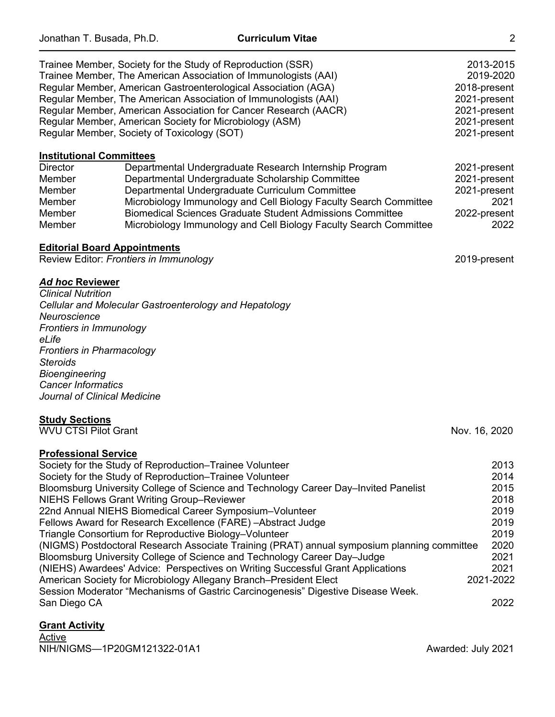|                                                                                                                                                                                                                                               | Trainee Member, Society for the Study of Reproduction (SSR)<br>Trainee Member, The American Association of Immunologists (AAI)<br>Regular Member, American Gastroenterological Association (AGA)<br>Regular Member, The American Association of Immunologists (AAI)<br>Regular Member, American Association for Cancer Research (AACR)<br>Regular Member, American Society for Microbiology (ASM)<br>Regular Member, Society of Toxicology (SOT)                                                                                                                                                                                | 2013-2015<br>2019-2020<br>2018-present<br>2021-present<br>2021-present<br>2021-present<br>2021-present |
|-----------------------------------------------------------------------------------------------------------------------------------------------------------------------------------------------------------------------------------------------|---------------------------------------------------------------------------------------------------------------------------------------------------------------------------------------------------------------------------------------------------------------------------------------------------------------------------------------------------------------------------------------------------------------------------------------------------------------------------------------------------------------------------------------------------------------------------------------------------------------------------------|--------------------------------------------------------------------------------------------------------|
| <b>Institutional Committees</b><br><b>Director</b><br>Member<br>Member<br>Member<br>Member<br>Member                                                                                                                                          | Departmental Undergraduate Research Internship Program<br>Departmental Undergraduate Scholarship Committee<br>Departmental Undergraduate Curriculum Committee<br>Microbiology Immunology and Cell Biology Faculty Search Committee<br><b>Biomedical Sciences Graduate Student Admissions Committee</b><br>Microbiology Immunology and Cell Biology Faculty Search Committee                                                                                                                                                                                                                                                     | 2021-present<br>2021-present<br>2021-present<br>2021<br>2022-present<br>2022                           |
| <b>Editorial Board Appointments</b>                                                                                                                                                                                                           | Review Editor: Frontiers in Immunology                                                                                                                                                                                                                                                                                                                                                                                                                                                                                                                                                                                          | 2019-present                                                                                           |
| <b>Ad hoc Reviewer</b><br><b>Clinical Nutrition</b><br>Neuroscience<br>Frontiers in Immunology<br>eLife<br><b>Frontiers in Pharmacology</b><br><b>Steroids</b><br>Bioengineering<br><b>Cancer Informatics</b><br>Journal of Clinical Medicine | Cellular and Molecular Gastroenterology and Hepatology                                                                                                                                                                                                                                                                                                                                                                                                                                                                                                                                                                          |                                                                                                        |
| <b>Study Sections</b><br><b>WVU CTSI Pilot Grant</b>                                                                                                                                                                                          |                                                                                                                                                                                                                                                                                                                                                                                                                                                                                                                                                                                                                                 | Nov. 16, 2020                                                                                          |
| <b>Professional Service</b>                                                                                                                                                                                                                   | Society for the Study of Reproduction–Trainee Volunteer<br>Society for the Study of Reproduction-Trainee Volunteer<br>Bloomsburg University College of Science and Technology Career Day-Invited Panelist<br><b>NIEHS Fellows Grant Writing Group-Reviewer</b><br>22nd Annual NIEHS Biomedical Career Symposium-Volunteer<br>Fellows Award for Research Excellence (FARE) - Abstract Judge<br>Triangle Consortium for Reproductive Biology-Volunteer<br>(NIGMS) Postdoctoral Research Associate Training (PRAT) annual symposium planning committee<br>Bloomsburg University College of Science and Technology Career Day-Judge | 2013<br>2014<br>2015<br>2018<br>2019<br>2019<br>2019<br>2020<br>2021                                   |

(NIEHS) Awardees' Advice: Perspectives on Writing Successful Grant Applications 2021 American Society for Microbiology Allegany Branch–President Elect 2021-2022 Session Moderator "Mechanisms of Gastric Carcinogenesis" Digestive Disease Week. San Diego CA 2022

# **Grant Activity**

Active NIH/NIGMS—1P20GM121322-01A1 Awarded: July 2021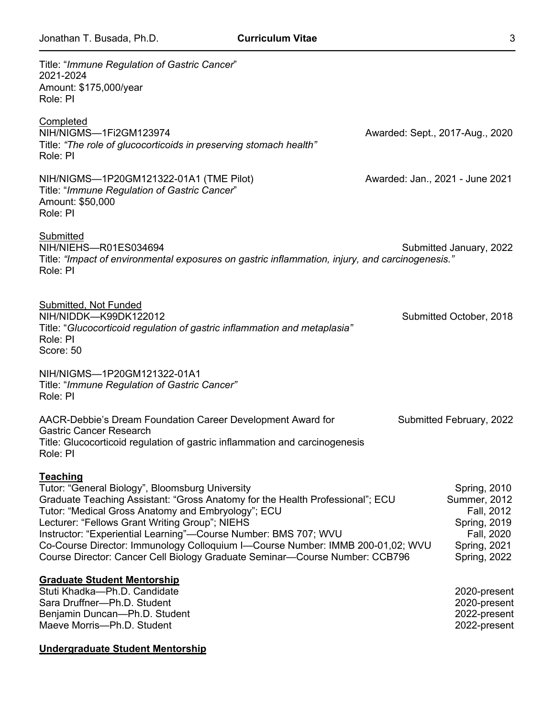| Title: "Immune Regulation of Gastric Cancer"<br>2021-2024<br>Amount: \$175,000/year<br>Role: PI                                                                                                                                                                                                                                                                                                                                                                                                 |                                                                                                                        |
|-------------------------------------------------------------------------------------------------------------------------------------------------------------------------------------------------------------------------------------------------------------------------------------------------------------------------------------------------------------------------------------------------------------------------------------------------------------------------------------------------|------------------------------------------------------------------------------------------------------------------------|
| Completed<br>NIH/NIGMS-1Fi2GM123974<br>Title: "The role of glucocorticoids in preserving stomach health"<br>Role: PI                                                                                                                                                                                                                                                                                                                                                                            | Awarded: Sept., 2017-Aug., 2020                                                                                        |
| NIH/NIGMS-1P20GM121322-01A1 (TME Pilot)<br>Title: "Immune Regulation of Gastric Cancer"<br>Amount: \$50,000<br>Role: PI                                                                                                                                                                                                                                                                                                                                                                         | Awarded: Jan., 2021 - June 2021                                                                                        |
| <b>Submitted</b><br>NIH/NIEHS-R01ES034694<br>Title: "Impact of environmental exposures on gastric inflammation, injury, and carcinogenesis."<br>Role: PI                                                                                                                                                                                                                                                                                                                                        | Submitted January, 2022                                                                                                |
| Submitted, Not Funded<br>NIH/NIDDK-K99DK122012<br>Title: "Glucocorticoid regulation of gastric inflammation and metaplasia"<br>Role: PI<br>Score: 50                                                                                                                                                                                                                                                                                                                                            | Submitted October, 2018                                                                                                |
| NIH/NIGMS-1P20GM121322-01A1<br>Title: "Immune Regulation of Gastric Cancer"<br>Role: PI                                                                                                                                                                                                                                                                                                                                                                                                         |                                                                                                                        |
| AACR-Debbie's Dream Foundation Career Development Award for<br><b>Gastric Cancer Research</b><br>Title: Glucocorticoid regulation of gastric inflammation and carcinogenesis<br>Role: PI                                                                                                                                                                                                                                                                                                        | Submitted February, 2022                                                                                               |
| <b>Teaching</b><br>Tutor: "General Biology", Bloomsburg University<br>Graduate Teaching Assistant: "Gross Anatomy for the Health Professional"; ECU<br>Tutor: "Medical Gross Anatomy and Embryology"; ECU<br>Lecturer: "Fellows Grant Writing Group"; NIEHS<br>Instructor: "Experiential Learning"-Course Number: BMS 707; WVU<br>Co-Course Director: Immunology Colloquium I-Course Number: IMMB 200-01,02; WVU<br>Course Director: Cancer Cell Biology Graduate Seminar-Course Number: CCB796 | <b>Spring, 2010</b><br><b>Summer, 2012</b><br>Fall, 2012<br>Spring, 2019<br>Fall, 2020<br>Spring, 2021<br>Spring, 2022 |
| <b>Graduate Student Mentorship</b><br>Stuti Khadka-Ph.D. Candidate<br>Sara Druffner-Ph.D. Student<br>Benjamin Duncan-Ph.D. Student<br>Maeve Morris-Ph.D. Student                                                                                                                                                                                                                                                                                                                                | 2020-present<br>2020-present<br>2022-present<br>2022-present                                                           |
| Undergraduate Student Mentorship                                                                                                                                                                                                                                                                                                                                                                                                                                                                |                                                                                                                        |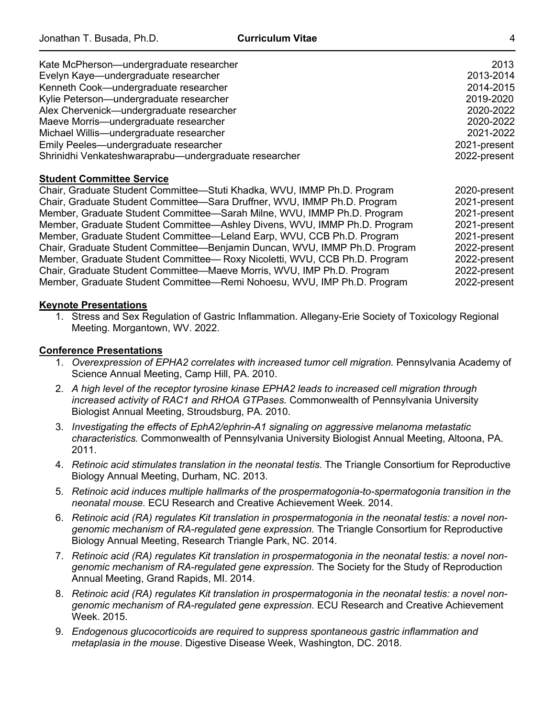| Kate McPherson-undergraduate researcher               | 2013         |
|-------------------------------------------------------|--------------|
| Evelyn Kaye-undergraduate researcher                  | 2013-2014    |
| Kenneth Cook-undergraduate researcher                 | 2014-2015    |
| Kylie Peterson-undergraduate researcher               | 2019-2020    |
| Alex Chervenick-undergraduate researcher              | 2020-2022    |
| Maeve Morris-undergraduate researcher                 | 2020-2022    |
| Michael Willis-undergraduate researcher               | 2021-2022    |
| Emily Peeles—undergraduate researcher                 | 2021-present |
| Shrinidhi Venkateshwaraprabu-undergraduate researcher | 2022-present |

#### **Student Committee Service**

Chair, Graduate Student Committee—Stuti Khadka, WVU, IMMP Ph.D. Program 2020-present Chair, Graduate Student Committee—Sara Druffner, WVU, IMMP Ph.D. Program 2021-present Member, Graduate Student Committee—Sarah Milne, WVU, IMMP Ph.D. Program 2021-present<br>Member, Graduate Student Committee—Ashley Divens, WVU, IMMP Ph.D. Program 2021-present Member, Graduate Student Committee—Ashley Divens, WVU, IMMP Ph.D. Program Member, Graduate Student Committee—Leland Earp, WVU, CCB Ph.D. Program 2021-present Chair, Graduate Student Committee—Benjamin Duncan, WVU, IMMP Ph.D. Program 2022-present Member, Graduate Student Committee— Roxy Nicoletti, WVU, CCB Ph.D. Program 2022-present Chair, Graduate Student Committee—Maeve Morris, WVU, IMP Ph.D. Program 2022-present Member, Graduate Student Committee—Remi Nohoesu, WVU, IMP Ph.D. Program 2022-present

### **Keynote Presentations**

1. Stress and Sex Regulation of Gastric Inflammation. Allegany-Erie Society of Toxicology Regional Meeting. Morgantown, WV. 2022.

### **Conference Presentations**

- 1. *Overexpression of EPHA2 correlates with increased tumor cell migration.* Pennsylvania Academy of Science Annual Meeting, Camp Hill, PA. 2010.
- 2. *A high level of the receptor tyrosine kinase EPHA2 leads to increased cell migration through increased activity of RAC1 and RHOA GTPases.* Commonwealth of Pennsylvania University Biologist Annual Meeting, Stroudsburg, PA. 2010.
- 3. *Investigating the effects of EphA2/ephrin-A1 signaling on aggressive melanoma metastatic characteristics.* Commonwealth of Pennsylvania University Biologist Annual Meeting, Altoona, PA. 2011.
- 4. *Retinoic acid stimulates translation in the neonatal testis.* The Triangle Consortium for Reproductive Biology Annual Meeting, Durham, NC. 2013.
- 5. *Retinoic acid induces multiple hallmarks of the prospermatogonia-to-spermatogonia transition in the neonatal mouse.* ECU Research and Creative Achievement Week. 2014.
- 6. *Retinoic acid (RA) regulates Kit translation in prospermatogonia in the neonatal testis: a novel nongenomic mechanism of RA-regulated gene expression.* The Triangle Consortium for Reproductive Biology Annual Meeting, Research Triangle Park, NC. 2014.
- 7. *Retinoic acid (RA) regulates Kit translation in prospermatogonia in the neonatal testis: a novel nongenomic mechanism of RA-regulated gene expression.* The Society for the Study of Reproduction Annual Meeting, Grand Rapids, MI. 2014.
- 8. *Retinoic acid (RA) regulates Kit translation in prospermatogonia in the neonatal testis: a novel nongenomic mechanism of RA-regulated gene expression.* ECU Research and Creative Achievement Week. 2015.
- 9. *Endogenous glucocorticoids are required to suppress spontaneous gastric inflammation and metaplasia in the mouse*. Digestive Disease Week, Washington, DC. 2018.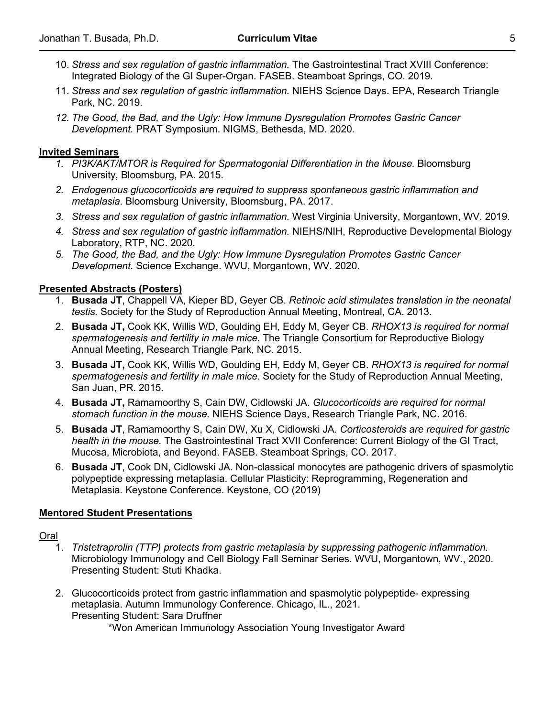- 10. *Stress and sex regulation of gastric inflammation.* The Gastrointestinal Tract XVIII Conference: Integrated Biology of the GI Super-Organ. FASEB. Steamboat Springs, CO. 2019.
- 11. *Stress and sex regulation of gastric inflammation.* NIEHS Science Days. EPA, Research Triangle Park, NC. 2019.
- *12. The Good, the Bad, and the Ugly: How Immune Dysregulation Promotes Gastric Cancer Development.* PRAT Symposium. NIGMS, Bethesda, MD. 2020.

#### **Invited Seminars**

- 1. PI3K/AKT/MTOR is Required for Spermatogonial Differentiation in the Mouse. Bloomsburg University, Bloomsburg, PA. 2015.
- *2. Endogenous glucocorticoids are required to suppress spontaneous gastric inflammation and metaplasia*. Bloomsburg University, Bloomsburg, PA. 2017.
- *3. Stress and sex regulation of gastric inflammation.* West Virginia University, Morgantown, WV. 2019.
- *4. Stress and sex regulation of gastric inflammation.* NIEHS/NIH, Reproductive Developmental Biology Laboratory, RTP, NC. 2020.
- *5. The Good, the Bad, and the Ugly: How Immune Dysregulation Promotes Gastric Cancer Development.* Science Exchange. WVU, Morgantown, WV. 2020.

### **Presented Abstracts (Posters)**

- 1. **Busada JT**, Chappell VA, Kieper BD, Geyer CB. *Retinoic acid stimulates translation in the neonatal testis.* Society for the Study of Reproduction Annual Meeting, Montreal, CA. 2013.
- 2. **Busada JT,** Cook KK, Willis WD, Goulding EH, Eddy M, Geyer CB. *RHOX13 is required for normal spermatogenesis and fertility in male mice.* The Triangle Consortium for Reproductive Biology Annual Meeting, Research Triangle Park, NC. 2015.
- 3. **Busada JT,** Cook KK, Willis WD, Goulding EH, Eddy M, Geyer CB. *RHOX13 is required for normal spermatogenesis and fertility in male mice.* Society for the Study of Reproduction Annual Meeting, San Juan, PR. 2015.
- 4. **Busada JT,** Ramamoorthy S, Cain DW, Cidlowski JA. *Glucocorticoids are required for normal stomach function in the mouse.* NIEHS Science Days, Research Triangle Park, NC. 2016.
- 5. **Busada JT**, Ramamoorthy S, Cain DW, Xu X, Cidlowski JA. *Corticosteroids are required for gastric health in the mouse.* The Gastrointestinal Tract XVII Conference: Current Biology of the GI Tract, Mucosa, Microbiota, and Beyond. FASEB. Steamboat Springs, CO. 2017.
- 6. **Busada JT**, Cook DN, Cidlowski JA. Non-classical monocytes are pathogenic drivers of spasmolytic polypeptide expressing metaplasia. Cellular Plasticity: Reprogramming, Regeneration and Metaplasia. Keystone Conference. Keystone, CO (2019)

#### **Mentored Student Presentations**

Oral

- 1. *Tristetraprolin (TTP) protects from gastric metaplasia by suppressing pathogenic inflammation.*  Microbiology Immunology and Cell Biology Fall Seminar Series. WVU, Morgantown, WV., 2020. Presenting Student: Stuti Khadka.
- 2. Glucocorticoids protect from gastric inflammation and spasmolytic polypeptide- expressing metaplasia. Autumn Immunology Conference. Chicago, IL., 2021. Presenting Student: Sara Druffner

\*Won American Immunology Association Young Investigator Award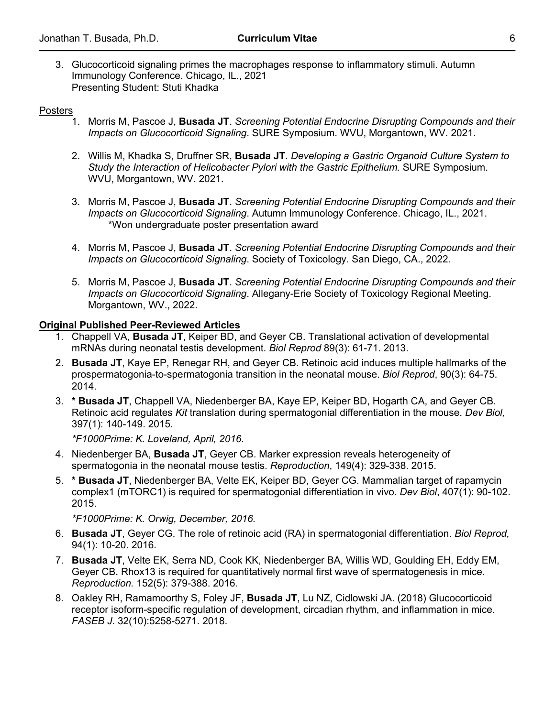3. Glucocorticoid signaling primes the macrophages response to inflammatory stimuli. Autumn Immunology Conference. Chicago, IL., 2021 Presenting Student: Stuti Khadka

## Posters

- 1. Morris M, Pascoe J, **Busada JT**. *Screening Potential Endocrine Disrupting Compounds and their Impacts on Glucocorticoid Signaling*. SURE Symposium. WVU, Morgantown, WV. 2021.
- 2. Willis M, Khadka S, Druffner SR, **Busada JT**. *Developing a Gastric Organoid Culture System to Study the Interaction of Helicobacter Pylori with the Gastric Epithelium.* SURE Symposium. WVU, Morgantown, WV. 2021.
- 3. Morris M, Pascoe J, **Busada JT**. *Screening Potential Endocrine Disrupting Compounds and their Impacts on Glucocorticoid Signaling*. Autumn Immunology Conference. Chicago, IL., 2021. \*Won undergraduate poster presentation award
- 4. Morris M, Pascoe J, **Busada JT**. *Screening Potential Endocrine Disrupting Compounds and their Impacts on Glucocorticoid Signaling*. Society of Toxicology. San Diego, CA., 2022.
- 5. Morris M, Pascoe J, **Busada JT**. *Screening Potential Endocrine Disrupting Compounds and their Impacts on Glucocorticoid Signaling*. Allegany-Erie Society of Toxicology Regional Meeting. Morgantown, WV., 2022.

### **Original Published Peer-Reviewed Articles**

- 1. Chappell VA, **Busada JT**, Keiper BD, and Geyer CB. Translational activation of developmental mRNAs during neonatal testis development. *Biol Reprod* 89(3): 61-71. 2013.
- 2. **Busada JT**, Kaye EP, Renegar RH, and Geyer CB. Retinoic acid induces multiple hallmarks of the prospermatogonia-to-spermatogonia transition in the neonatal mouse. *Biol Reprod*, 90(3): 64-75. 2014.
- 3. **\* Busada JT**, Chappell VA, Niedenberger BA, Kaye EP, Keiper BD, Hogarth CA, and Geyer CB. Retinoic acid regulates *Kit* translation during spermatogonial differentiation in the mouse. *Dev Biol,* 397(1): 140-149. 2015.

*\*F1000Prime: K. Loveland, April, 2016.*

- 4. Niedenberger BA, **Busada JT**, Geyer CB. Marker expression reveals heterogeneity of spermatogonia in the neonatal mouse testis. *Reproduction*, 149(4): 329-338. 2015.
- 5. **\* Busada JT**, Niedenberger BA, Velte EK, Keiper BD, Geyer CG. Mammalian target of rapamycin complex1 (mTORC1) is required for spermatogonial differentiation in vivo. *Dev Biol*, 407(1): 90-102. 2015.

*\*F1000Prime: K. Orwig, December, 2016.*

- 6. **Busada JT**, Geyer CG. The role of retinoic acid (RA) in spermatogonial differentiation. *Biol Reprod,*  94(1): 10-20. 2016.
- 7. **Busada JT**, Velte EK, Serra ND, Cook KK, Niedenberger BA, Willis WD, Goulding EH, Eddy EM, Geyer CB. Rhox13 is required for quantitatively normal first wave of spermatogenesis in mice. *Reproduction.* 152(5): 379-388. 2016.
- 8. Oakley RH, Ramamoorthy S, Foley JF, **Busada JT**, Lu NZ, Cidlowski JA. (2018) Glucocorticoid receptor isoform-specific regulation of development, circadian rhythm, and inflammation in mice. *FASEB J*. 32(10):5258-5271. 2018.